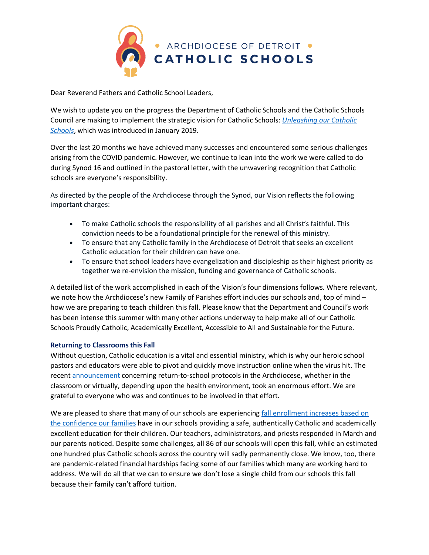

Dear Reverend Fathers and Catholic School Leaders,

We wish to update you on the progress the Department of Catholic Schools and the Catholic Schools Council are making to implement the strategic vision for Catholic Schools: *[Unleashing our Catholic](https://aod.box.com/s/zutgifev2ryn6wbnqmat9dzua8a6z7uj)  [Schools](https://aod.box.com/s/zutgifev2ryn6wbnqmat9dzua8a6z7uj)*, which was introduced in January 2019.

Over the last 20 months we have achieved many successes and encountered some serious challenges arising from the COVID pandemic. However, we continue to lean into the work we were called to do during Synod 16 and outlined in the pastoral letter, with the unwavering recognition that Catholic schools are everyone's responsibility.

As directed by the people of the Archdiocese through the Synod, our Vision reflects the following important charges:

- To make Catholic schools the responsibility of all parishes and all Christ's faithful. This conviction needs to be a foundational principle for the renewal of this ministry.
- To ensure that any Catholic family in the Archdiocese of Detroit that seeks an excellent Catholic education for their children can have one.
- To ensure that school leaders have evangelization and discipleship as their highest priority as together we re-envision the mission, funding and governance of Catholic schools.

A detailed list of the work accomplished in each of the Vision's four dimensions follows. Where relevant, we note how the Archdiocese's new Family of Parishes effort includes our schools and, top of mind – how we are preparing to teach children this fall. Please know that the Department and Council's work has been intense this summer with many other actions underway to help make all of our Catholic Schools Proudly Catholic, Academically Excellent, Accessible to All and Sustainable for the Future.

# **Returning to Classrooms this Fall**

Without question, Catholic education is a vital and essential ministry, which is why our heroic school pastors and educators were able to pivot and quickly move instruction online when the virus hit. The recent [announcement](https://www.detroitcatholicschools.org/news/covid-19-preparedness-and-response-july-update) concerning return-to-school protocols in the Archdiocese, whether in the classroom or virtually, depending upon the health environment, took an enormous effort. We are grateful to everyone who was and continues to be involved in that effort.

We are pleased to share that many of our schools are experiencing [fall enrollment](https://www.detroitnews.com/story/news/education/2020/08/20/detroit-area-catholic-schools-reopen-wait-lists/3386278001/) increases based on [the confidence our families](https://www.detroitnews.com/story/news/education/2020/08/20/detroit-area-catholic-schools-reopen-wait-lists/3386278001/) have in our schools providing a safe, authentically Catholic and academically excellent education for their children. Our teachers, administrators, and priests responded in March and our parents noticed. Despite some challenges, all 86 of our schools will open this fall, while an estimated one hundred plus Catholic schools across the country will sadly permanently close. We know, too, there are pandemic-related financial hardships facing some of our families which many are working hard to address. We will do all that we can to ensure we don't lose a single child from our schools this fall because their family can't afford tuition.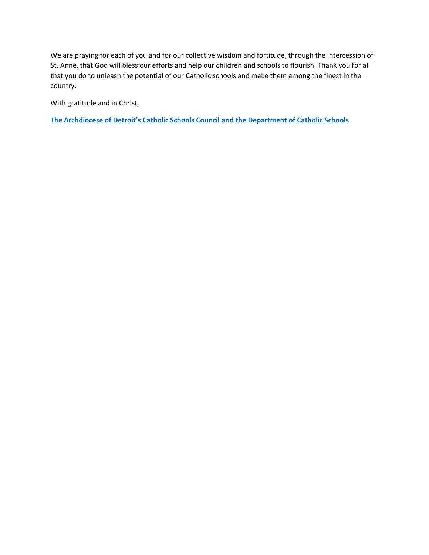We are praying for each of you and for our collective wisdom and fortitude, through the intercession of St. Anne, that God will bless our efforts and help our children and schools to flourish. Thank you for all that you do to unleash the potential of our Catholic schools and make them among the finest in the country.

With gratitude and in Christ,

**[The Archdiocese of Detroit's Catholic Schools Council](https://www.detroitcatholicschools.org/department-of-catholic-schools) and the Department of Catholic Schools**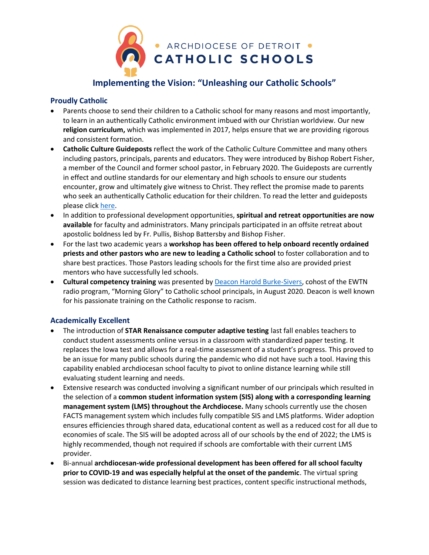

# **Implementing the Vision: "Unleashing our Catholic Schools"**

### **Proudly Catholic**

- Parents choose to send their children to a Catholic school for many reasons and most importantly, to learn in an authentically Catholic environment imbued with our Christian worldview. Our new **religion curriculum,** which was implemented in 2017, helps ensure that we are providing rigorous and consistent formation.
- **Catholic Culture Guideposts** reflect the work of the Catholic Culture Committee and many others including pastors, principals, parents and educators. They were introduced by Bishop Robert Fisher, a member of the Council and former school pastor, in February 2020. The Guideposts are currently in effect and outline standards for our elementary and high schools to ensure our students encounter, grow and ultimately give witness to Christ. They reflect the promise made to parents who seek an authentically Catholic education for their children. To read the letter and guideposts please click [here.](https://us12.campaign-archive.com/?e=&u=c3572bec2cea5ba13208d3a4c&id=bc758a8fe3)
- In addition to professional development opportunities, **spiritual and retreat opportunities are now available** for faculty and administrators. Many principals participated in an offsite retreat about apostolic boldness led by Fr. Pullis, Bishop Battersby and Bishop Fisher.
- For the last two academic years a **workshop has been offered to help onboard recently ordained priests and other pastors who are new to leading a Catholic school** to foster collaboration and to share best practices. Those Pastors leading schools for the first time also are provided priest mentors who have successfully led schools.
- **Cultural competency training** was presented b[y Deacon Harold Burke-Sivers,](https://www.deaconharold.com/) cohost of the EWTN radio program, "Morning Glory" to Catholic school principals, in August 2020. Deacon is well known for his passionate training on the Catholic response to racism.

# **Academically Excellent**

- The introduction of **STAR Renaissance computer adaptive testing** last fall enables teachers to conduct student assessments online versus in a classroom with standardized paper testing. It replaces the Iowa test and allows for a real-time assessment of a student's progress. This proved to be an issue for many public schools during the pandemic who did not have such a tool. Having this capability enabled archdiocesan school faculty to pivot to online distance learning while still evaluating student learning and needs.
- Extensive research was conducted involving a significant number of our principals which resulted in the selection of a **common student information system (SIS) along with a corresponding learning management system (LMS) throughout the Archdiocese.** Many schools currently use the chosen FACTS management system which includes fully compatible SIS and LMS platforms. Wider adoption ensures efficiencies through shared data, educational content as well as a reduced cost for all due to economies of scale. The SIS will be adopted across all of our schools by the end of 2022; the LMS is highly recommended, though not required if schools are comfortable with their current LMS provider.
- Bi-annual **archdiocesan-wide professional development has been offered for all school faculty prior to COVID-19 and was especially helpful at the onset of the pandemic**. The virtual spring session was dedicated to distance learning best practices, content specific instructional methods,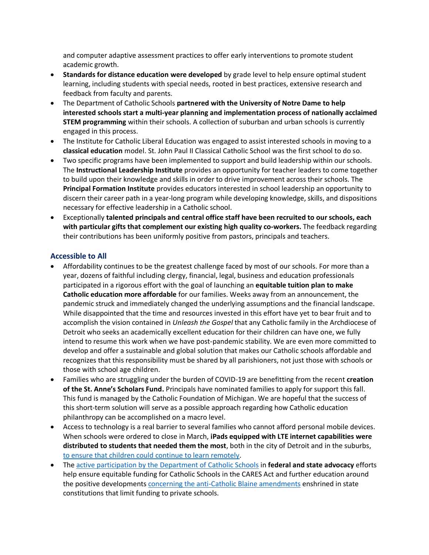and computer adaptive assessment practices to offer early interventions to promote student academic growth.

- **Standards for distance education were developed** by grade level to help ensure optimal student learning, including students with special needs, rooted in best practices, extensive research and feedback from faculty and parents.
- The Department of Catholic Schools **partnered with the University of Notre Dame to help interested schools start a multi-year planning and implementation process of nationally acclaimed STEM programming** within their schools. A collection of suburban and urban schools is currently engaged in this process.
- The Institute for Catholic Liberal Education was engaged to assist interested schools in moving to a **classical education** model. St. John Paul II Classical Catholic School was the first school to do so.
- Two specific programs have been implemented to support and build leadership within our schools. The **Instructional Leadership Institute** provides an opportunity for teacher leaders to come together to build upon their knowledge and skills in order to drive improvement across their schools. The **Principal Formation Institute** provides educators interested in school leadership an opportunity to discern their career path in a year-long program while developing knowledge, skills, and dispositions necessary for effective leadership in a Catholic school.
- Exceptionally **talented principals and central office staff have been recruited to our schools, each with particular gifts that complement our existing high quality co-workers.** The feedback regarding their contributions has been uniformly positive from pastors, principals and teachers.

#### **Accessible to All**

- Affordability continues to be the greatest challenge faced by most of our schools. For more than a year, dozens of faithful including clergy, financial, legal, business and education professionals participated in a rigorous effort with the goal of launching an **equitable tuition plan to make Catholic education more affordable** for our families. Weeks away from an announcement, the pandemic struck and immediately changed the underlying assumptions and the financial landscape. While disappointed that the time and resources invested in this effort have yet to bear fruit and to accomplish the vision contained in *Unleash the Gospel* that any Catholic family in the Archdiocese of Detroit who seeks an academically excellent education for their children can have one, we fully intend to resume this work when we have post-pandemic stability. We are even more committed to develop and offer a sustainable and global solution that makes our Catholic schools affordable and recognizes that this responsibility must be shared by all parishioners, not just those with schools or those with school age children.
- Families who are struggling under the burden of COVID-19 are benefitting from the recent **creation of the St. Anne's Scholars Fund.** Principals have nominated families to apply for support this fall. This fund is managed by the Catholic Foundation of Michigan. We are hopeful that the success of this short-term solution will serve as a possible approach regarding how Catholic education philanthropy can be accomplished on a macro level.
- Access to technology is a real barrier to several families who cannot afford personal mobile devices. When schools were ordered to close in March, **iPads equipped with LTE internet capabilities were distributed to students that needed them the most**, both in the city of Detroit and in the suburbs, [to ensure that children could continue](https://www.ncregister.com/daily-news/inner-city-catholic-education-rises-to-covid-challenge) to learn remotely.
- The active participation [by the Department of Catholic Schools](https://www.usccb.org/committees/catholic-education/usccb-federal-assistance-advisorycommission-faac) in **federal and state advocacy** efforts help ensure equitable funding for Catholic Schools in the CARES Act and further education around the positive developments [concerning the anti-Catholic](https://spectator.org/catholicschools-can-save-americas-children/) Blaine amendments enshrined in state constitutions that limit funding to private schools.